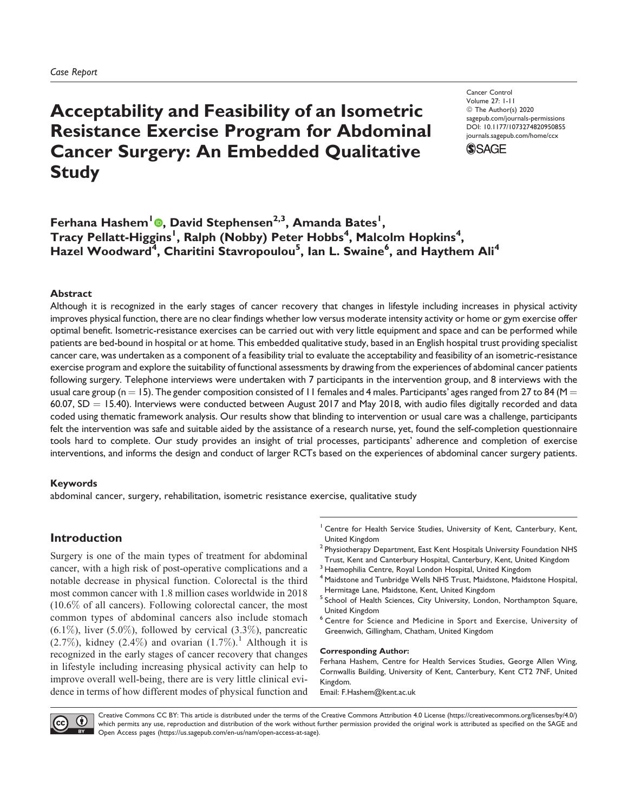# Acceptability and Feasibility of an Isometric Resistance Exercise Program for Abdominal Cancer Surgery: An Embedded Qualitative **Study**

Cancer Control Volume 27: 1-11 © The Author(s) 2020 [sagepub.com/journals-permissions](https://sagepub.com/journals-permissions) [DOI: 10.1177/1073274820950855](https://doi.org/10.1177/1073274820950855) [journals.sagepub.com/home/ccx](http://journals.sagepub.com/home/ccx)

**SSAGE** 

## Ferhana Hashem<sup>1</sup>®[,](https://orcid.org/0000-0002-2544-1350) David Stephensen<sup>2,3</sup>, Amanda Bates<sup>1</sup>, Tracy Pellatt-Higgins<sup>1</sup>, Ralph (Nobby) Peter Hobbs<sup>4</sup>, Malcolm Hopkins<sup>4</sup>, Hazel Woodward<sup>4</sup>, Charitini Stavropoulou<sup>5</sup>, Ian L. Swaine<sup>6</sup>, and Haythem Ali<sup>4</sup>

#### Abstract

Although it is recognized in the early stages of cancer recovery that changes in lifestyle including increases in physical activity improves physical function, there are no clear findings whether low versus moderate intensity activity or home or gym exercise offer optimal benefit. Isometric-resistance exercises can be carried out with very little equipment and space and can be performed while patients are bed-bound in hospital or at home. This embedded qualitative study, based in an English hospital trust providing specialist cancer care, was undertaken as a component of a feasibility trial to evaluate the acceptability and feasibility of an isometric-resistance exercise program and explore the suitability of functional assessments by drawing from the experiences of abdominal cancer patients following surgery. Telephone interviews were undertaken with 7 participants in the intervention group, and 8 interviews with the usual care group (n = 15). The gender composition consisted of 11 females and 4 males. Participants' ages ranged from 27 to 84 (M = 60.07, SD  $=$  15.40). Interviews were conducted between August 2017 and May 2018, with audio files digitally recorded and data coded using thematic framework analysis. Our results show that blinding to intervention or usual care was a challenge, participants felt the intervention was safe and suitable aided by the assistance of a research nurse, yet, found the self-completion questionnaire tools hard to complete. Our study provides an insight of trial processes, participants' adherence and completion of exercise interventions, and informs the design and conduct of larger RCTs based on the experiences of abdominal cancer surgery patients.

#### Keywords

abdominal cancer, surgery, rehabilitation, isometric resistance exercise, qualitative study

## Introduction

Surgery is one of the main types of treatment for abdominal cancer, with a high risk of post-operative complications and a notable decrease in physical function. Colorectal is the third most common cancer with 1.8 million cases worldwide in 2018 (10.6% of all cancers). Following colorectal cancer, the most common types of abdominal cancers also include stomach  $(6.1\%)$ , liver  $(5.0\%)$ , followed by cervical  $(3.3\%)$ , pancreatic  $(2.7\%)$ , kidney  $(2.4\%)$  and ovarian  $(1.7\%)$ .<sup>1</sup> Although it is recognized in the early stages of cancer recovery that changes in lifestyle including increasing physical activity can help to improve overall well-being, there are is very little clinical evidence in terms of how different modes of physical function and

- <sup>1</sup> Centre for Health Service Studies, University of Kent, Canterbury, Kent, United Kingdom
- $2$  Physiotherapy Department, East Kent Hospitals University Foundation NHS Trust, Kent and Canterbury Hospital, Canterbury, Kent, United Kingdom
- <sup>3</sup> Haemophilia Centre, Royal London Hospital, United Kingdom
- <sup>4</sup> Maidstone and Tunbridge Wells NHS Trust, Maidstone, Maidstone Hospital, Hermitage Lane, Maidstone, Kent, United Kingdom
- <sup>5</sup> School of Health Sciences, City University, London, Northampton Square, United Kingdom
- <sup>6</sup> Centre for Science and Medicine in Sport and Exercise, University of Greenwich, Gillingham, Chatham, United Kingdom

#### Corresponding Author:

Ferhana Hashem, Centre for Health Services Studies, George Allen Wing, Cornwallis Building, University of Kent, Canterbury, Kent CT2 7NF, United Kingdom.

Email: [F.Hashem@kent.ac.uk](mailto:F.Hashem@kent.ac.uk)



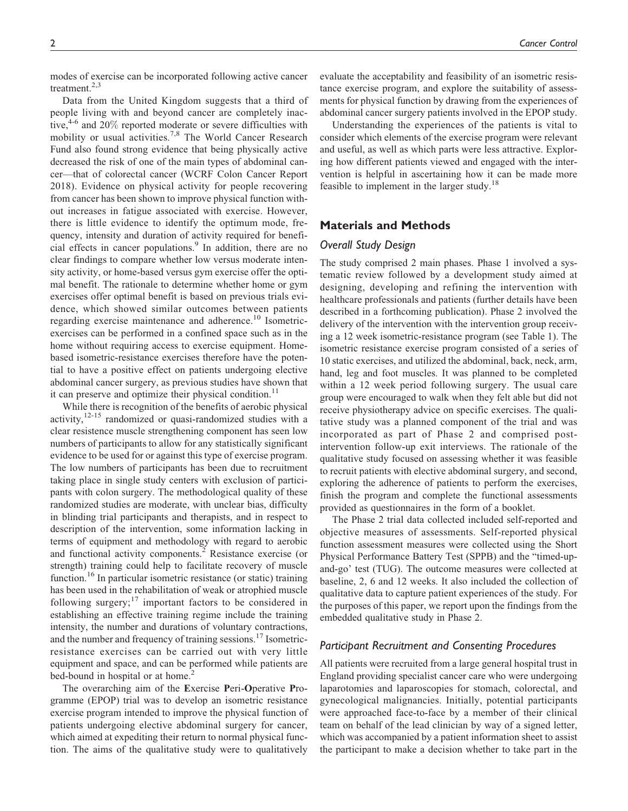modes of exercise can be incorporated following active cancer treatment. $2,3$ 

Data from the United Kingdom suggests that a third of people living with and beyond cancer are completely inactive, $4-6$  and 20% reported moderate or severe difficulties with mobility or usual activities.7,8 The World Cancer Research Fund also found strong evidence that being physically active decreased the risk of one of the main types of abdominal cancer—that of colorectal cancer (WCRF Colon Cancer Report 2018). Evidence on physical activity for people recovering from cancer has been shown to improve physical function without increases in fatigue associated with exercise. However, there is little evidence to identify the optimum mode, frequency, intensity and duration of activity required for beneficial effects in cancer populations.<sup>9</sup> In addition, there are no clear findings to compare whether low versus moderate intensity activity, or home-based versus gym exercise offer the optimal benefit. The rationale to determine whether home or gym exercises offer optimal benefit is based on previous trials evidence, which showed similar outcomes between patients regarding exercise maintenance and adherence.<sup>10</sup> Isometricexercises can be performed in a confined space such as in the home without requiring access to exercise equipment. Homebased isometric-resistance exercises therefore have the potential to have a positive effect on patients undergoing elective abdominal cancer surgery, as previous studies have shown that it can preserve and optimize their physical condition.<sup>11</sup>

While there is recognition of the benefits of aerobic physical activity, $12-15$  randomized or quasi-randomized studies with a clear resistence muscle strengthening component has seen low numbers of participants to allow for any statistically significant evidence to be used for or against this type of exercise program. The low numbers of participants has been due to recruitment taking place in single study centers with exclusion of participants with colon surgery. The methodological quality of these randomized studies are moderate, with unclear bias, difficulty in blinding trial participants and therapists, and in respect to description of the intervention, some information lacking in terms of equipment and methodology with regard to aerobic and functional activity components.<sup>2</sup> Resistance exercise (or strength) training could help to facilitate recovery of muscle function.<sup>16</sup> In particular isometric resistance (or static) training has been used in the rehabilitation of weak or atrophied muscle following surgery; $17$  important factors to be considered in establishing an effective training regime include the training intensity, the number and durations of voluntary contractions, and the number and frequency of training sessions.<sup>17</sup> Isometricresistance exercises can be carried out with very little equipment and space, and can be performed while patients are bed-bound in hospital or at home.<sup>2</sup>

The overarching aim of the Exercise Peri-Operative Programme (EPOP) trial was to develop an isometric resistance exercise program intended to improve the physical function of patients undergoing elective abdominal surgery for cancer, which aimed at expediting their return to normal physical function. The aims of the qualitative study were to qualitatively

evaluate the acceptability and feasibility of an isometric resistance exercise program, and explore the suitability of assessments for physical function by drawing from the experiences of abdominal cancer surgery patients involved in the EPOP study.

Understanding the experiences of the patients is vital to consider which elements of the exercise program were relevant and useful, as well as which parts were less attractive. Exploring how different patients viewed and engaged with the intervention is helpful in ascertaining how it can be made more feasible to implement in the larger study.<sup>18</sup>

## Materials and Methods

#### Overall Study Design

The study comprised 2 main phases. Phase 1 involved a systematic review followed by a development study aimed at designing, developing and refining the intervention with healthcare professionals and patients (further details have been described in a forthcoming publication). Phase 2 involved the delivery of the intervention with the intervention group receiving a 12 week isometric-resistance program (see Table 1). The isometric resistance exercise program consisted of a series of 10 static exercises, and utilized the abdominal, back, neck, arm, hand, leg and foot muscles. It was planned to be completed within a 12 week period following surgery. The usual care group were encouraged to walk when they felt able but did not receive physiotherapy advice on specific exercises. The qualitative study was a planned component of the trial and was incorporated as part of Phase 2 and comprised postintervention follow-up exit interviews. The rationale of the qualitative study focused on assessing whether it was feasible to recruit patients with elective abdominal surgery, and second, exploring the adherence of patients to perform the exercises, finish the program and complete the functional assessments provided as questionnaires in the form of a booklet.

The Phase 2 trial data collected included self-reported and objective measures of assessments. Self-reported physical function assessment measures were collected using the Short Physical Performance Battery Test (SPPB) and the "timed-upand-go' test (TUG). The outcome measures were collected at baseline, 2, 6 and 12 weeks. It also included the collection of qualitative data to capture patient experiences of the study. For the purposes of this paper, we report upon the findings from the embedded qualitative study in Phase 2.

#### Participant Recruitment and Consenting Procedures

All patients were recruited from a large general hospital trust in England providing specialist cancer care who were undergoing laparotomies and laparoscopies for stomach, colorectal, and gynecological malignancies. Initially, potential participants were approached face-to-face by a member of their clinical team on behalf of the lead clinician by way of a signed letter, which was accompanied by a patient information sheet to assist the participant to make a decision whether to take part in the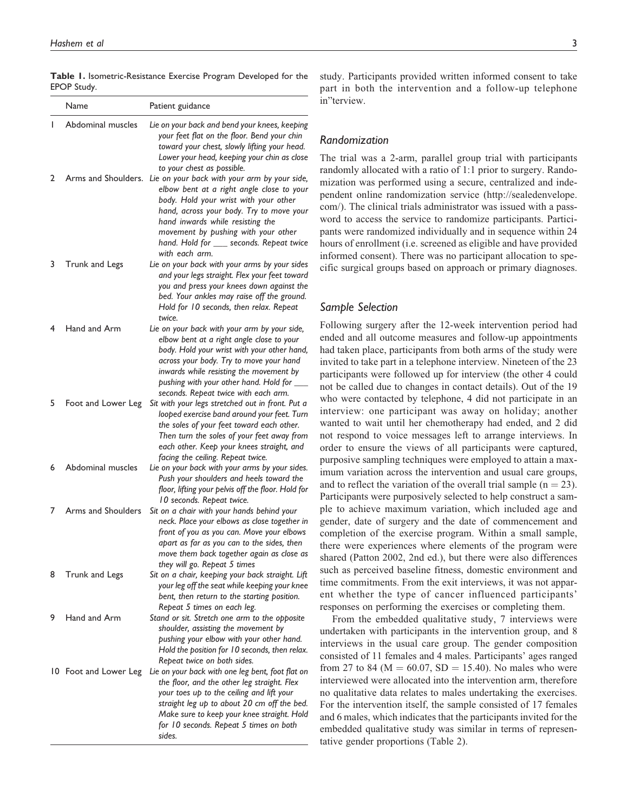|   | Name                  | Patient guidance                                                                                                                                                                                                                                                                                                        |
|---|-----------------------|-------------------------------------------------------------------------------------------------------------------------------------------------------------------------------------------------------------------------------------------------------------------------------------------------------------------------|
|   | Abdominal muscles     | Lie on your back and bend your knees, keeping<br>your feet flat on the floor. Bend your chin<br>toward your chest, slowly lifting your head.<br>Lower your head, keeping your chin as close<br>to your chest as possible.                                                                                               |
| 2 | Arms and Shoulders.   | Lie on your back with your arm by your side,<br>elbow bent at a right angle close to your<br>body. Hold your wrist with your other<br>hand, across your body. Try to move your<br>hand inwards while resisting the<br>movement by pushing with your other<br>hand. Hold for ___ seconds. Repeat twice<br>with each arm. |
| 3 | Trunk and Legs        | Lie on your back with your arms by your sides<br>and your legs straight. Flex your feet toward<br>you and press your knees down against the<br>bed. Your ankles may raise off the ground.<br>Hold for 10 seconds, then relax. Repeat<br>twice.                                                                          |
| 4 | Hand and Arm          | Lie on your back with your arm by your side,<br>elbow bent at a right angle close to your<br>body. Hold your wrist with your other hand,<br>across your body. Try to move your hand<br>inwards while resisting the movement by<br>pushing with your other hand. Hold for<br>seconds. Repeat twice with each arm.        |
| 5 | Foot and Lower Leg    | Sit with your legs stretched out in front. Put a<br>looped exercise band around your feet. Turn<br>the soles of your feet toward each other.<br>Then turn the soles of your feet away from<br>each other. Keep your knees straight, and<br>facing the ceiling. Repeat twice.                                            |
| 6 | Abdominal muscles     | Lie on your back with your arms by your sides.<br>Push your shoulders and heels toward the<br>floor, lifting your pelvis off the floor. Hold for<br>10 seconds. Repeat twice.                                                                                                                                           |
| 7 | Arms and Shoulders    | Sit on a chair with your hands behind your<br>neck. Place your elbows as close together in<br>front of you as you can. Move your elbows<br>apart as far as you can to the sides, then<br>move them back together again as close as<br>they will go. Repeat 5 times                                                      |
| 8 | Trunk and Legs        | Sit on a chair, keeping your back straight. Lift<br>your leg off the seat while keeping your knee<br>bent, then return to the starting position.<br>Repeat 5 times on each leg.                                                                                                                                         |
| 9 | Hand and Arm          | Stand or sit. Stretch one arm to the opposite<br>shoulder, assisting the movement by<br>pushing your elbow with your other hand.<br>Hold the position for 10 seconds, then relax.<br>Repeat twice on both sides.                                                                                                        |
|   | 10 Foot and Lower Leg | Lie on your back with one leg bent, foot flat on<br>the floor, and the other leg straight. Flex<br>your toes up to the ceiling and lift your<br>straight leg up to about 20 cm off the bed.<br>Make sure to keep your knee straight. Hold<br>for 10 seconds. Repeat 5 times on both<br>sides.                           |

Table 1. Isometric-Resistance Exercise Program Developed for the EPOP Study.

study. Participants provided written informed consent to take part in both the intervention and a follow-up telephone in"terview.

#### Randomization

The trial was a 2-arm, parallel group trial with participants randomly allocated with a ratio of 1:1 prior to surgery. Randomization was performed using a secure, centralized and independent online randomization service ([http://sealedenvelope.](http://sealedenvelope.com/) [com/\)](http://sealedenvelope.com/). The clinical trials administrator was issued with a password to access the service to randomize participants. Participants were randomized individually and in sequence within 24 hours of enrollment (i.e. screened as eligible and have provided informed consent). There was no participant allocation to specific surgical groups based on approach or primary diagnoses.

#### Sample Selection

Following surgery after the 12-week intervention period had ended and all outcome measures and follow-up appointments had taken place, participants from both arms of the study were invited to take part in a telephone interview. Nineteen of the 23 participants were followed up for interview (the other 4 could not be called due to changes in contact details). Out of the 19 who were contacted by telephone, 4 did not participate in an interview: one participant was away on holiday; another wanted to wait until her chemotherapy had ended, and 2 did not respond to voice messages left to arrange interviews. In order to ensure the views of all participants were captured, purposive sampling techniques were employed to attain a maximum variation across the intervention and usual care groups, and to reflect the variation of the overall trial sample  $(n = 23)$ . Participants were purposively selected to help construct a sample to achieve maximum variation, which included age and gender, date of surgery and the date of commencement and completion of the exercise program. Within a small sample, there were experiences where elements of the program were shared (Patton 2002, 2nd ed.), but there were also differences such as perceived baseline fitness, domestic environment and time commitments. From the exit interviews, it was not apparent whether the type of cancer influenced participants' responses on performing the exercises or completing them.

From the embedded qualitative study, 7 interviews were undertaken with participants in the intervention group, and 8 interviews in the usual care group. The gender composition consisted of 11 females and 4 males. Participants' ages ranged from 27 to 84 ( $M = 60.07$ , SD = 15.40). No males who were interviewed were allocated into the intervention arm, therefore no qualitative data relates to males undertaking the exercises. For the intervention itself, the sample consisted of 17 females and 6 males, which indicates that the participants invited for the embedded qualitative study was similar in terms of representative gender proportions (Table 2).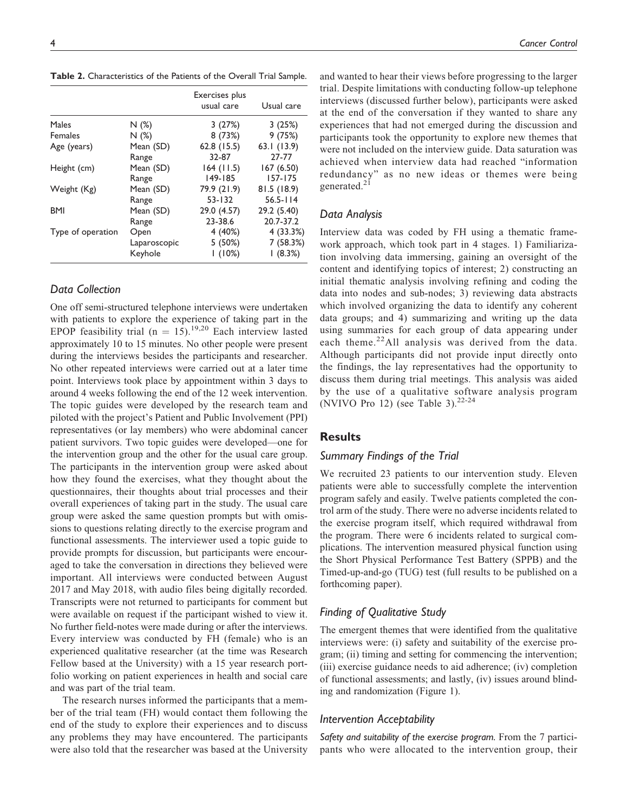Table 2. Characteristics of the Patients of the Overall Trial Sample.

|                   |              | Exercises plus<br>usual care | Usual care   |
|-------------------|--------------|------------------------------|--------------|
| Males             | N(%)         | 3(27%)                       | 3(25%)       |
| <b>Females</b>    | N(%)         | 8(73%)                       | 9(75%)       |
| Age (years)       | Mean (SD)    | $62.8$ (15.5)                | 63.1(13.9)   |
|                   | Range        | 32-87                        | 27-77        |
| Height (cm)       | Mean (SD)    | $164$ (11.5)                 | 167(6.50)    |
|                   | Range        | $149 - 185$                  | 157-175      |
| Weight (Kg)       | Mean (SD)    | 79.9 (21.9)                  | 81.5 (18.9)  |
|                   | Range        | $53 - 132$                   | $56.5 - 114$ |
| <b>BMI</b>        | Mean (SD)    | 29.0 (4.57)                  | 29.2 (5.40)  |
|                   | Range        | 23-38.6                      | 20.7-37.2    |
| Type of operation | Open         | 4 (40%)                      | 4(33.3%)     |
|                   | Laparoscopic | 5 (50%)                      | 7(58.3%)     |
|                   | Keyhole      | (10%)                        | (8.3%)       |

## Data Collection

One off semi-structured telephone interviews were undertaken with patients to explore the experience of taking part in the EPOP feasibility trial (n = 15).<sup>19,20</sup> Each interview lasted approximately 10 to 15 minutes. No other people were present during the interviews besides the participants and researcher. No other repeated interviews were carried out at a later time point. Interviews took place by appointment within 3 days to around 4 weeks following the end of the 12 week intervention. The topic guides were developed by the research team and piloted with the project's Patient and Public Involvement (PPI) representatives (or lay members) who were abdominal cancer patient survivors. Two topic guides were developed—one for the intervention group and the other for the usual care group. The participants in the intervention group were asked about how they found the exercises, what they thought about the questionnaires, their thoughts about trial processes and their overall experiences of taking part in the study. The usual care group were asked the same question prompts but with omissions to questions relating directly to the exercise program and functional assessments. The interviewer used a topic guide to provide prompts for discussion, but participants were encouraged to take the conversation in directions they believed were important. All interviews were conducted between August 2017 and May 2018, with audio files being digitally recorded. Transcripts were not returned to participants for comment but were available on request if the participant wished to view it. No further field-notes were made during or after the interviews. Every interview was conducted by FH (female) who is an experienced qualitative researcher (at the time was Research Fellow based at the University) with a 15 year research portfolio working on patient experiences in health and social care and was part of the trial team.

The research nurses informed the participants that a member of the trial team (FH) would contact them following the end of the study to explore their experiences and to discuss any problems they may have encountered. The participants were also told that the researcher was based at the University and wanted to hear their views before progressing to the larger trial. Despite limitations with conducting follow-up telephone interviews (discussed further below), participants were asked at the end of the conversation if they wanted to share any experiences that had not emerged during the discussion and participants took the opportunity to explore new themes that were not included on the interview guide. Data saturation was achieved when interview data had reached "information redundancy" as no new ideas or themes were being generated.<sup>21</sup>

#### Data Analysis

Interview data was coded by FH using a thematic framework approach, which took part in 4 stages. 1) Familiarization involving data immersing, gaining an oversight of the content and identifying topics of interest; 2) constructing an initial thematic analysis involving refining and coding the data into nodes and sub-nodes; 3) reviewing data abstracts which involved organizing the data to identify any coherent data groups; and 4) summarizing and writing up the data using summaries for each group of data appearing under each theme.<sup>22</sup>All analysis was derived from the data. Although participants did not provide input directly onto the findings, the lay representatives had the opportunity to discuss them during trial meetings. This analysis was aided by the use of a qualitative software analysis program (NVIVO Pro 12) (see Table 3). $22-24$ 

#### Results

## Summary Findings of the Trial

We recruited 23 patients to our intervention study. Eleven patients were able to successfully complete the intervention program safely and easily. Twelve patients completed the control arm of the study. There were no adverse incidents related to the exercise program itself, which required withdrawal from the program. There were 6 incidents related to surgical complications. The intervention measured physical function using the Short Physical Performance Test Battery (SPPB) and the Timed-up-and-go (TUG) test (full results to be published on a forthcoming paper).

#### Finding of Qualitative Study

The emergent themes that were identified from the qualitative interviews were: (i) safety and suitability of the exercise program; (ii) timing and setting for commencing the intervention; (iii) exercise guidance needs to aid adherence; (iv) completion of functional assessments; and lastly, (iv) issues around blinding and randomization (Figure 1).

#### Intervention Acceptability

Safety and suitability of the exercise program. From the 7 participants who were allocated to the intervention group, their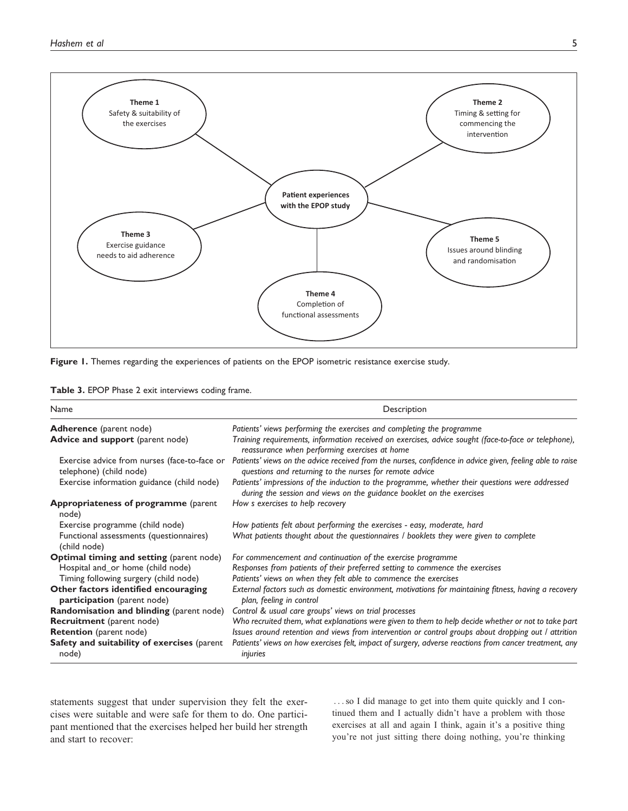

Figure 1. Themes regarding the experiences of patients on the EPOP isometric resistance exercise study.

|  |  |  |  |  | Table 3. EPOP Phase 2 exit interviews coding frame. |  |  |
|--|--|--|--|--|-----------------------------------------------------|--|--|
|--|--|--|--|--|-----------------------------------------------------|--|--|

| Name                                                                    | Description                                                                                                                                                              |  |  |  |
|-------------------------------------------------------------------------|--------------------------------------------------------------------------------------------------------------------------------------------------------------------------|--|--|--|
| <b>Adherence</b> (parent node)                                          | Patients' views performing the exercises and completing the programme                                                                                                    |  |  |  |
| <b>Advice and support (parent node)</b>                                 | Training requirements, information received on exercises, advice sought (face-to-face or telephone),<br>reassurance when performing exercises at home                    |  |  |  |
| Exercise advice from nurses (face-to-face or<br>telephone) (child node) | Patients' views on the advice received from the nurses, confidence in advice given, feeling able to raise<br>questions and returning to the nurses for remote advice     |  |  |  |
| Exercise information guidance (child node)                              | Patients' impressions of the induction to the programme, whether their questions were addressed<br>during the session and views on the guidance booklet on the exercises |  |  |  |
| <b>Appropriateness of programme (parent)</b><br>node)                   | How s exercises to help recovery                                                                                                                                         |  |  |  |
| Exercise programme (child node)                                         | How patients felt about performing the exercises - easy, moderate, hard                                                                                                  |  |  |  |
| Functional assessments (questionnaires)<br>(child node)                 | What patients thought about the questionnaires / booklets they were given to complete                                                                                    |  |  |  |
| <b>Optimal timing and setting (parent node)</b>                         | For commencement and continuation of the exercise programme                                                                                                              |  |  |  |
| Hospital and or home (child node)                                       | Responses from patients of their preferred setting to commence the exercises                                                                                             |  |  |  |
| Timing following surgery (child node)                                   | Patients' views on when they felt able to commence the exercises                                                                                                         |  |  |  |
| Other factors identified encouraging<br>participation (parent node)     | External factors such as domestic environment, motivations for maintaining fitness, having a recovery<br>plan, feeling in control                                        |  |  |  |
| <b>Randomisation and blinding (parent node)</b>                         | Control & usual care groups' views on trial processes                                                                                                                    |  |  |  |
| <b>Recruitment</b> (parent node)                                        | Who recruited them, what explanations were given to them to help decide whether or not to take part                                                                      |  |  |  |
| <b>Retention</b> (parent node)                                          | Issues around retention and views from intervention or control groups about dropping out / attrition                                                                     |  |  |  |
| Safety and suitability of exercises (parent<br>node)                    | Patients' views on how exercises felt, impact of surgery, adverse reactions from cancer treatment, any<br>injuries                                                       |  |  |  |

statements suggest that under supervision they felt the exercises were suitable and were safe for them to do. One participant mentioned that the exercises helped her build her strength and start to recover:

...so I did manage to get into them quite quickly and I continued them and I actually didn't have a problem with those exercises at all and again I think, again it's a positive thing you're not just sitting there doing nothing, you're thinking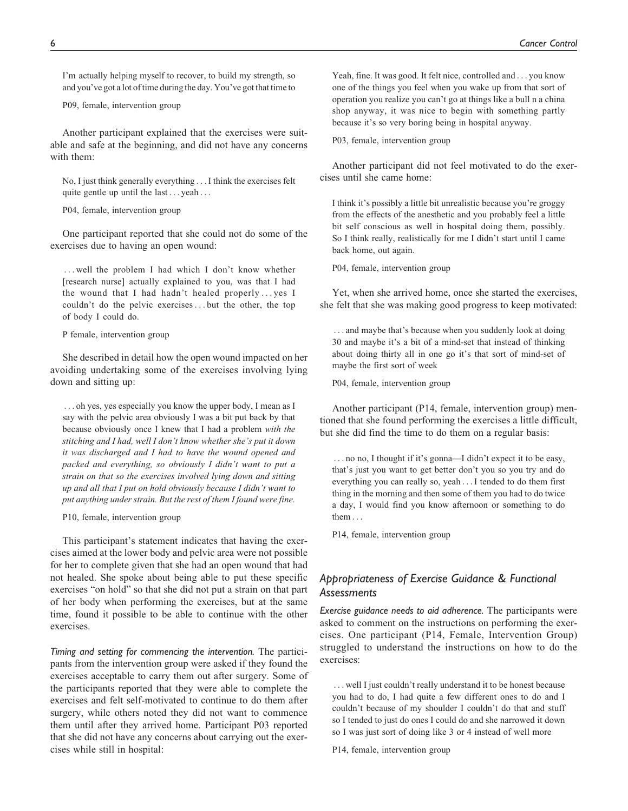I'm actually helping myself to recover, to build my strength, so and you've got a lot of time during the day. You've got that time to

P09, female, intervention group

Another participant explained that the exercises were suitable and safe at the beginning, and did not have any concerns with them:

No, I just think generally everything ...I think the exercises felt quite gentle up until the last ... yeah ...

P04, female, intervention group

One participant reported that she could not do some of the exercises due to having an open wound:

... well the problem I had which I don't know whether [research nurse] actually explained to you, was that I had the wound that I had hadn't healed properly ... yes I couldn't do the pelvic exercises... but the other, the top of body I could do.

P female, intervention group

She described in detail how the open wound impacted on her avoiding undertaking some of the exercises involving lying down and sitting up:

... oh yes, yes especially you know the upper body, I mean as I say with the pelvic area obviously I was a bit put back by that because obviously once I knew that I had a problem with the stitching and I had, well I don't know whether she's put it down it was discharged and I had to have the wound opened and packed and everything, so obviously I didn't want to put a strain on that so the exercises involved lying down and sitting up and all that I put on hold obviously because I didn't want to put anything under strain. But the rest of them I found were fine.

P10, female, intervention group

This participant's statement indicates that having the exercises aimed at the lower body and pelvic area were not possible for her to complete given that she had an open wound that had not healed. She spoke about being able to put these specific exercises "on hold" so that she did not put a strain on that part of her body when performing the exercises, but at the same time, found it possible to be able to continue with the other exercises.

Timing and setting for commencing the intervention. The participants from the intervention group were asked if they found the exercises acceptable to carry them out after surgery. Some of the participants reported that they were able to complete the exercises and felt self-motivated to continue to do them after surgery, while others noted they did not want to commence them until after they arrived home. Participant P03 reported that she did not have any concerns about carrying out the exercises while still in hospital:

Yeah, fine. It was good. It felt nice, controlled and . . . you know one of the things you feel when you wake up from that sort of operation you realize you can't go at things like a bull n a china shop anyway, it was nice to begin with something partly because it's so very boring being in hospital anyway.

P03, female, intervention group

Another participant did not feel motivated to do the exercises until she came home:

I think it's possibly a little bit unrealistic because you're groggy from the effects of the anesthetic and you probably feel a little bit self conscious as well in hospital doing them, possibly. So I think really, realistically for me I didn't start until I came back home, out again.

P04, female, intervention group

Yet, when she arrived home, once she started the exercises, she felt that she was making good progress to keep motivated:

... and maybe that's because when you suddenly look at doing 30 and maybe it's a bit of a mind-set that instead of thinking about doing thirty all in one go it's that sort of mind-set of maybe the first sort of week

P04, female, intervention group

Another participant (P14, female, intervention group) mentioned that she found performing the exercises a little difficult, but she did find the time to do them on a regular basis:

... no no, I thought if it's gonna—I didn't expect it to be easy, that's just you want to get better don't you so you try and do everything you can really so, yeah ...I tended to do them first thing in the morning and then some of them you had to do twice a day, I would find you know afternoon or something to do them ...

P14, female, intervention group

## Appropriateness of Exercise Guidance & Functional **Assessments**

Exercise guidance needs to aid adherence. The participants were asked to comment on the instructions on performing the exercises. One participant (P14, Female, Intervention Group) struggled to understand the instructions on how to do the exercises:

... well I just couldn't really understand it to be honest because you had to do, I had quite a few different ones to do and I couldn't because of my shoulder I couldn't do that and stuff so I tended to just do ones I could do and she narrowed it down so I was just sort of doing like 3 or 4 instead of well more

P14, female, intervention group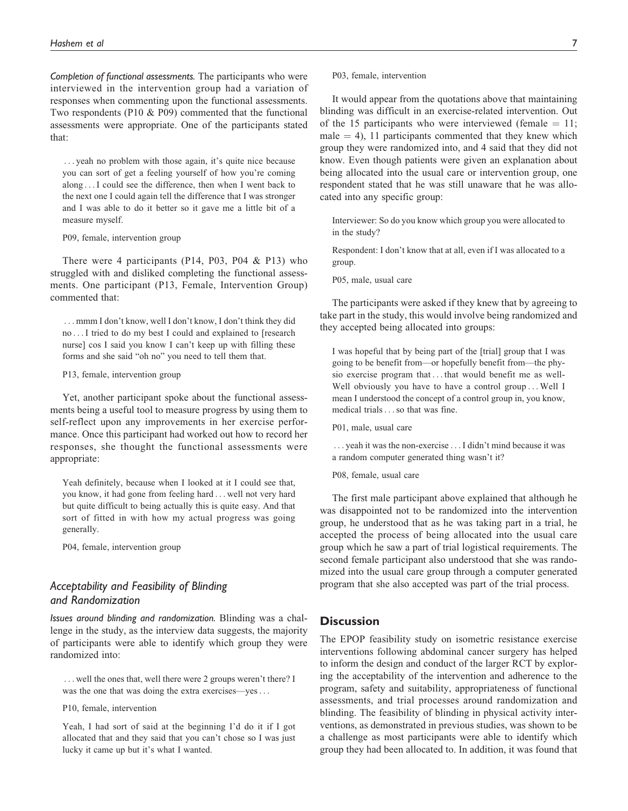Completion of functional assessments. The participants who were interviewed in the intervention group had a variation of responses when commenting upon the functional assessments. Two respondents (P10 & P09) commented that the functional assessments were appropriate. One of the participants stated that:

... yeah no problem with those again, it's quite nice because you can sort of get a feeling yourself of how you're coming along ...I could see the difference, then when I went back to the next one I could again tell the difference that I was stronger and I was able to do it better so it gave me a little bit of a measure myself.

P09, female, intervention group

There were 4 participants (P14, P03, P04 & P13) who struggled with and disliked completing the functional assessments. One participant (P13, Female, Intervention Group) commented that:

... mmm I don't know, well I don't know, I don't think they did no ... I tried to do my best I could and explained to [research nurse] cos I said you know I can't keep up with filling these forms and she said "oh no" you need to tell them that.

P13, female, intervention group

Yet, another participant spoke about the functional assessments being a useful tool to measure progress by using them to self-reflect upon any improvements in her exercise performance. Once this participant had worked out how to record her responses, she thought the functional assessments were appropriate:

Yeah definitely, because when I looked at it I could see that, you know, it had gone from feeling hard ... well not very hard but quite difficult to being actually this is quite easy. And that sort of fitted in with how my actual progress was going generally.

P04, female, intervention group

## Acceptability and Feasibility of Blinding and Randomization

Issues around blinding and randomization. Blinding was a challenge in the study, as the interview data suggests, the majority of participants were able to identify which group they were randomized into:

... well the ones that, well there were 2 groups weren't there? I was the one that was doing the extra exercises—yes...

P10, female, intervention

Yeah, I had sort of said at the beginning I'd do it if I got allocated that and they said that you can't chose so I was just lucky it came up but it's what I wanted.

P03, female, intervention

It would appear from the quotations above that maintaining blinding was difficult in an exercise-related intervention. Out of the 15 participants who were interviewed (female  $= 11$ ; male  $=$  4), 11 participants commented that they knew which group they were randomized into, and 4 said that they did not know. Even though patients were given an explanation about being allocated into the usual care or intervention group, one respondent stated that he was still unaware that he was allocated into any specific group:

Interviewer: So do you know which group you were allocated to in the study?

Respondent: I don't know that at all, even if I was allocated to a group.

P05, male, usual care

The participants were asked if they knew that by agreeing to take part in the study, this would involve being randomized and they accepted being allocated into groups:

I was hopeful that by being part of the [trial] group that I was going to be benefit from—or hopefully benefit from—the physio exercise program that ... that would benefit me as well-Well obviously you have to have a control group ... Well I mean I understood the concept of a control group in, you know, medical trials...so that was fine.

P01, male, usual care

... yeah it was the non-exercise ...I didn't mind because it was a random computer generated thing wasn't it?

P08, female, usual care

The first male participant above explained that although he was disappointed not to be randomized into the intervention group, he understood that as he was taking part in a trial, he accepted the process of being allocated into the usual care group which he saw a part of trial logistical requirements. The second female participant also understood that she was randomized into the usual care group through a computer generated program that she also accepted was part of the trial process.

#### **Discussion**

The EPOP feasibility study on isometric resistance exercise interventions following abdominal cancer surgery has helped to inform the design and conduct of the larger RCT by exploring the acceptability of the intervention and adherence to the program, safety and suitability, appropriateness of functional assessments, and trial processes around randomization and blinding. The feasibility of blinding in physical activity interventions, as demonstrated in previous studies, was shown to be a challenge as most participants were able to identify which group they had been allocated to. In addition, it was found that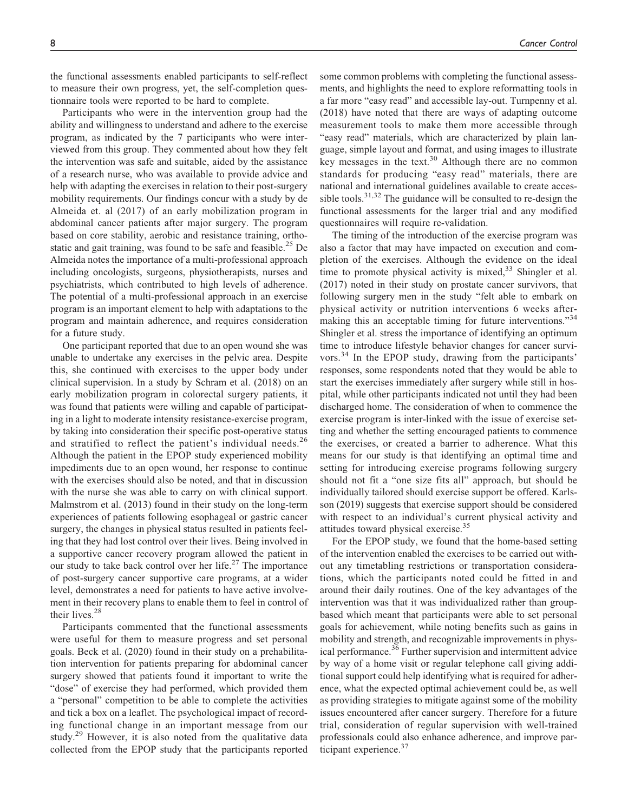the functional assessments enabled participants to self-reflect to measure their own progress, yet, the self-completion questionnaire tools were reported to be hard to complete.

Participants who were in the intervention group had the ability and willingness to understand and adhere to the exercise program, as indicated by the 7 participants who were interviewed from this group. They commented about how they felt the intervention was safe and suitable, aided by the assistance of a research nurse, who was available to provide advice and help with adapting the exercises in relation to their post-surgery mobility requirements. Our findings concur with a study by de Almeida et. al (2017) of an early mobilization program in abdominal cancer patients after major surgery. The program based on core stability, aerobic and resistance training, orthostatic and gait training, was found to be safe and feasible.<sup>25</sup> De Almeida notes the importance of a multi-professional approach including oncologists, surgeons, physiotherapists, nurses and psychiatrists, which contributed to high levels of adherence. The potential of a multi-professional approach in an exercise program is an important element to help with adaptations to the program and maintain adherence, and requires consideration for a future study.

One participant reported that due to an open wound she was unable to undertake any exercises in the pelvic area. Despite this, she continued with exercises to the upper body under clinical supervision. In a study by Schram et al. (2018) on an early mobilization program in colorectal surgery patients, it was found that patients were willing and capable of participating in a light to moderate intensity resistance-exercise program, by taking into consideration their specific post-operative status and stratified to reflect the patient's individual needs.<sup>26</sup> Although the patient in the EPOP study experienced mobility impediments due to an open wound, her response to continue with the exercises should also be noted, and that in discussion with the nurse she was able to carry on with clinical support. Malmstrom et al. (2013) found in their study on the long-term experiences of patients following esophageal or gastric cancer surgery, the changes in physical status resulted in patients feeling that they had lost control over their lives. Being involved in a supportive cancer recovery program allowed the patient in our study to take back control over her life.<sup>27</sup> The importance of post-surgery cancer supportive care programs, at a wider level, demonstrates a need for patients to have active involvement in their recovery plans to enable them to feel in control of their lives.<sup>28</sup>

Participants commented that the functional assessments were useful for them to measure progress and set personal goals. Beck et al. (2020) found in their study on a prehabilitation intervention for patients preparing for abdominal cancer surgery showed that patients found it important to write the "dose" of exercise they had performed, which provided them a "personal" competition to be able to complete the activities and tick a box on a leaflet. The psychological impact of recording functional change in an important message from our study.<sup>29</sup> However, it is also noted from the qualitative data collected from the EPOP study that the participants reported some common problems with completing the functional assessments, and highlights the need to explore reformatting tools in a far more "easy read" and accessible lay-out. Turnpenny et al. (2018) have noted that there are ways of adapting outcome measurement tools to make them more accessible through "easy read" materials, which are characterized by plain language, simple layout and format, and using images to illustrate key messages in the text. $30$  Although there are no common standards for producing "easy read" materials, there are national and international guidelines available to create accessible tools.<sup>31,32</sup> The guidance will be consulted to re-design the functional assessments for the larger trial and any modified questionnaires will require re-validation.

The timing of the introduction of the exercise program was also a factor that may have impacted on execution and completion of the exercises. Although the evidence on the ideal time to promote physical activity is mixed,  $33$  Shingler et al. (2017) noted in their study on prostate cancer survivors, that following surgery men in the study "felt able to embark on physical activity or nutrition interventions 6 weeks aftermaking this an acceptable timing for future interventions."<sup>34</sup> Shingler et al. stress the importance of identifying an optimum time to introduce lifestyle behavior changes for cancer survivors.<sup>34</sup> In the EPOP study, drawing from the participants' responses, some respondents noted that they would be able to start the exercises immediately after surgery while still in hospital, while other participants indicated not until they had been discharged home. The consideration of when to commence the exercise program is inter-linked with the issue of exercise setting and whether the setting encouraged patients to commence the exercises, or created a barrier to adherence. What this means for our study is that identifying an optimal time and setting for introducing exercise programs following surgery should not fit a "one size fits all" approach, but should be individually tailored should exercise support be offered. Karlsson (2019) suggests that exercise support should be considered with respect to an individual's current physical activity and attitudes toward physical exercise.<sup>35</sup>

For the EPOP study, we found that the home-based setting of the intervention enabled the exercises to be carried out without any timetabling restrictions or transportation considerations, which the participants noted could be fitted in and around their daily routines. One of the key advantages of the intervention was that it was individualized rather than groupbased which meant that participants were able to set personal goals for achievement, while noting benefits such as gains in mobility and strength, and recognizable improvements in physical performance.<sup>36</sup> Further supervision and intermittent advice by way of a home visit or regular telephone call giving additional support could help identifying what is required for adherence, what the expected optimal achievement could be, as well as providing strategies to mitigate against some of the mobility issues encountered after cancer surgery. Therefore for a future trial, consideration of regular supervision with well-trained professionals could also enhance adherence, and improve participant experience.<sup>37</sup>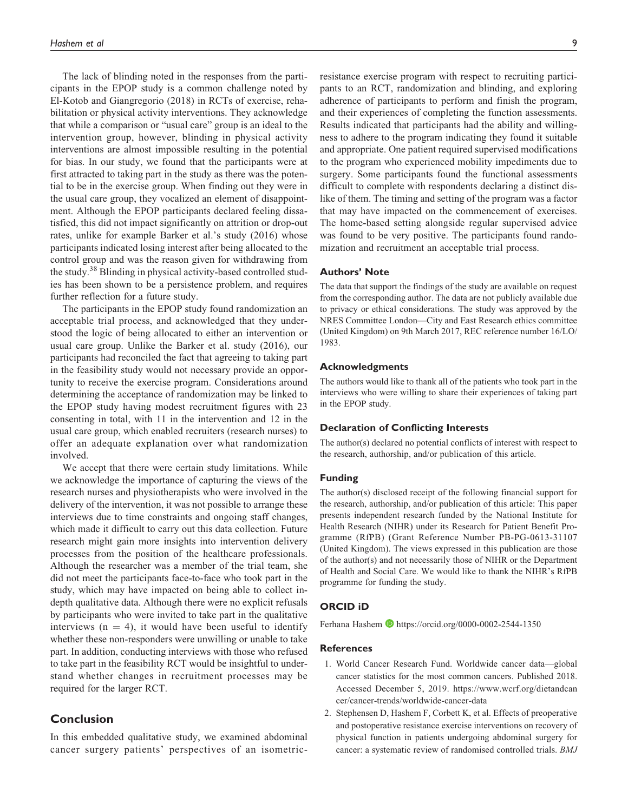The lack of blinding noted in the responses from the participants in the EPOP study is a common challenge noted by El-Kotob and Giangregorio (2018) in RCTs of exercise, rehabilitation or physical activity interventions. They acknowledge that while a comparison or "usual care" group is an ideal to the intervention group, however, blinding in physical activity interventions are almost impossible resulting in the potential for bias. In our study, we found that the participants were at first attracted to taking part in the study as there was the potential to be in the exercise group. When finding out they were in the usual care group, they vocalized an element of disappointment. Although the EPOP participants declared feeling dissatisfied, this did not impact significantly on attrition or drop-out rates, unlike for example Barker et al.'s study (2016) whose participants indicated losing interest after being allocated to the control group and was the reason given for withdrawing from the study.<sup>38</sup> Blinding in physical activity-based controlled studies has been shown to be a persistence problem, and requires further reflection for a future study.

The participants in the EPOP study found randomization an acceptable trial process, and acknowledged that they understood the logic of being allocated to either an intervention or usual care group. Unlike the Barker et al. study (2016), our participants had reconciled the fact that agreeing to taking part in the feasibility study would not necessary provide an opportunity to receive the exercise program. Considerations around determining the acceptance of randomization may be linked to the EPOP study having modest recruitment figures with 23 consenting in total, with 11 in the intervention and 12 in the usual care group, which enabled recruiters (research nurses) to offer an adequate explanation over what randomization involved.

We accept that there were certain study limitations. While we acknowledge the importance of capturing the views of the research nurses and physiotherapists who were involved in the delivery of the intervention, it was not possible to arrange these interviews due to time constraints and ongoing staff changes, which made it difficult to carry out this data collection. Future research might gain more insights into intervention delivery processes from the position of the healthcare professionals. Although the researcher was a member of the trial team, she did not meet the participants face-to-face who took part in the study, which may have impacted on being able to collect indepth qualitative data. Although there were no explicit refusals by participants who were invited to take part in the qualitative interviews ( $n = 4$ ), it would have been useful to identify whether these non-responders were unwilling or unable to take part. In addition, conducting interviews with those who refused to take part in the feasibility RCT would be insightful to understand whether changes in recruitment processes may be required for the larger RCT.

## Conclusion

In this embedded qualitative study, we examined abdominal cancer surgery patients' perspectives of an isometricresistance exercise program with respect to recruiting participants to an RCT, randomization and blinding, and exploring adherence of participants to perform and finish the program, and their experiences of completing the function assessments. Results indicated that participants had the ability and willingness to adhere to the program indicating they found it suitable and appropriate. One patient required supervised modifications to the program who experienced mobility impediments due to surgery. Some participants found the functional assessments difficult to complete with respondents declaring a distinct dislike of them. The timing and setting of the program was a factor that may have impacted on the commencement of exercises. The home-based setting alongside regular supervised advice was found to be very positive. The participants found randomization and recruitment an acceptable trial process.

#### Authors' Note

The data that support the findings of the study are available on request from the corresponding author. The data are not publicly available due to privacy or ethical considerations. The study was approved by the NRES Committee London—City and East Research ethics committee (United Kingdom) on 9th March 2017, REC reference number 16/LO/ 1983.

#### Acknowledgments

The authors would like to thank all of the patients who took part in the interviews who were willing to share their experiences of taking part in the EPOP study.

#### Declaration of Conflicting Interests

The author(s) declared no potential conflicts of interest with respect to the research, authorship, and/or publication of this article.

#### Funding

The author(s) disclosed receipt of the following financial support for the research, authorship, and/or publication of this article: This paper presents independent research funded by the National Institute for Health Research (NIHR) under its Research for Patient Benefit Programme (RfPB) (Grant Reference Number PB-PG-0613-31107 (United Kingdom). The views expressed in this publication are those of the author(s) and not necessarily those of NIHR or the Department of Health and Social Care. We would like to thank the NIHR's RfPB programme for funding the study.

#### ORCID iD

Ferhana Hashem <https://orcid.org/0000-0002-2544-1350>

#### References

- 1. World Cancer Research Fund. Worldwide cancer data—global cancer statistics for the most common cancers. Published 2018. Accessed December 5, 2019. [https://www.wcrf.org/dietandcan](https://www.wcrf.org/dietandcancer/cancer-trends/worldwide-cancer-data) [cer/cancer-trends/worldwide-cancer-data](https://www.wcrf.org/dietandcancer/cancer-trends/worldwide-cancer-data)
- 2. Stephensen D, Hashem F, Corbett K, et al. Effects of preoperative and postoperative resistance exercise interventions on recovery of physical function in patients undergoing abdominal surgery for cancer: a systematic review of randomised controlled trials. BMJ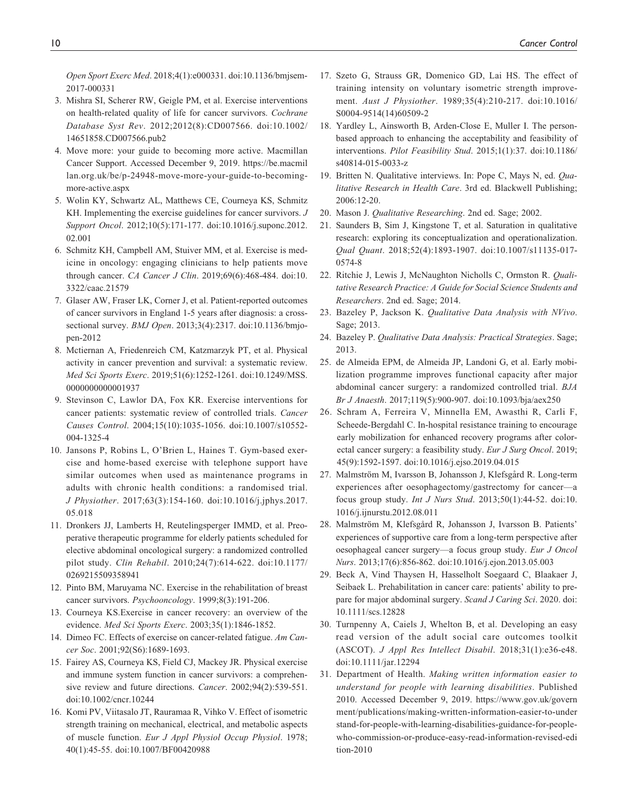Open Sport Exerc Med. 2018;4(1):e000331. doi:10.1136/bmjsem-2017-000331

- 3. Mishra SI, Scherer RW, Geigle PM, et al. Exercise interventions on health-related quality of life for cancer survivors. Cochrane Database Syst Rev. 2012;2012(8):CD007566. doi:10.1002/ 14651858.CD007566.pub2
- 4. Move more: your guide to becoming more active. Macmillan Cancer Support. Accessed December 9, 2019. [https://be.macmil](https://be.macmillan.org.uk/be/p-24948-move-more-your-guide-to-becoming-more-active.aspx) [lan.org.uk/be/p-24948-move-more-your-guide-to-becoming](https://be.macmillan.org.uk/be/p-24948-move-more-your-guide-to-becoming-more-active.aspx)[more-active.aspx](https://be.macmillan.org.uk/be/p-24948-move-more-your-guide-to-becoming-more-active.aspx)
- 5. Wolin KY, Schwartz AL, Matthews CE, Courneya KS, Schmitz KH. Implementing the exercise guidelines for cancer survivors. J Support Oncol. 2012;10(5):171-177. doi:10.1016/j.suponc.2012. 02.001
- 6. Schmitz KH, Campbell AM, Stuiver MM, et al. Exercise is medicine in oncology: engaging clinicians to help patients move through cancer. CA Cancer J Clin. 2019;69(6):468-484. doi:10. 3322/caac.21579
- 7. Glaser AW, Fraser LK, Corner J, et al. Patient-reported outcomes of cancer survivors in England 1-5 years after diagnosis: a crosssectional survey. BMJ Open. 2013;3(4):2317. doi:10.1136/bmjopen-2012
- 8. Mctiernan A, Friedenreich CM, Katzmarzyk PT, et al. Physical activity in cancer prevention and survival: a systematic review. Med Sci Sports Exerc. 2019;51(6):1252-1261. doi:10.1249/MSS. 0000000000001937
- 9. Stevinson C, Lawlor DA, Fox KR. Exercise interventions for cancer patients: systematic review of controlled trials. Cancer Causes Control. 2004;15(10):1035-1056. doi:10.1007/s10552- 004-1325-4
- 10. Jansons P, Robins L, O'Brien L, Haines T. Gym-based exercise and home-based exercise with telephone support have similar outcomes when used as maintenance programs in adults with chronic health conditions: a randomised trial. J Physiother. 2017;63(3):154-160. doi:10.1016/j.jphys.2017. 05.018
- 11. Dronkers JJ, Lamberts H, Reutelingsperger IMMD, et al. Preoperative therapeutic programme for elderly patients scheduled for elective abdominal oncological surgery: a randomized controlled pilot study. Clin Rehabil. 2010;24(7):614-622. doi:10.1177/ 0269215509358941
- 12. Pinto BM, Maruyama NC. Exercise in the rehabilitation of breast cancer survivors. Psychooncology. 1999;8(3):191-206.
- 13. Courneya KS.Exercise in cancer recovery: an overview of the evidence. Med Sci Sports Exerc. 2003;35(1):1846-1852.
- 14. Dimeo FC. Effects of exercise on cancer-related fatigue. Am Cancer Soc. 2001;92(S6):1689-1693.
- 15. Fairey AS, Courneya KS, Field CJ, Mackey JR. Physical exercise and immune system function in cancer survivors: a comprehensive review and future directions. Cancer. 2002;94(2):539-551. doi:10.1002/cncr.10244
- 16. Komi PV, Viitasalo JT, Rauramaa R, Vihko V. Effect of isometric strength training on mechanical, electrical, and metabolic aspects of muscle function. Eur J Appl Physiol Occup Physiol. 1978; 40(1):45-55. doi:10.1007/BF00420988
- 17. Szeto G, Strauss GR, Domenico GD, Lai HS. The effect of training intensity on voluntary isometric strength improvement. Aust J Physiother. 1989;35(4):210-217. doi:10.1016/ S0004-9514(14)60509-2
- 18. Yardley L, Ainsworth B, Arden-Close E, Muller I. The personbased approach to enhancing the acceptability and feasibility of interventions. Pilot Feasibility Stud. 2015;1(1):37. doi:10.1186/ s40814-015-0033-z
- 19. Britten N. Qualitative interviews. In: Pope C, Mays N, ed. Qualitative Research in Health Care. 3rd ed. Blackwell Publishing; 2006:12-20.
- 20. Mason J. Qualitative Researching. 2nd ed. Sage; 2002.
- 21. Saunders B, Sim J, Kingstone T, et al. Saturation in qualitative research: exploring its conceptualization and operationalization. Qual Quant. 2018;52(4):1893-1907. doi:10.1007/s11135-017- 0574-8
- 22. Ritchie J, Lewis J, McNaughton Nicholls C, Ormston R. Qualitative Research Practice: A Guide for Social Science Students and Researchers. 2nd ed. Sage; 2014.
- 23. Bazeley P, Jackson K. Qualitative Data Analysis with NVivo. Sage; 2013.
- 24. Bazeley P. Qualitative Data Analysis: Practical Strategies. Sage; 2013.
- 25. de Almeida EPM, de Almeida JP, Landoni G, et al. Early mobilization programme improves functional capacity after major abdominal cancer surgery: a randomized controlled trial. BJA Br J Anaesth. 2017;119(5):900-907. doi:10.1093/bja/aex250
- 26. Schram A, Ferreira V, Minnella EM, Awasthi R, Carli F, Scheede-Bergdahl C. In-hospital resistance training to encourage early mobilization for enhanced recovery programs after colorectal cancer surgery: a feasibility study. Eur J Surg Oncol. 2019; 45(9):1592-1597. doi:10.1016/j.ejso.2019.04.015
- 27. Malmström M, Ivarsson B, Johansson J, Klefsgård R. Long-term experiences after oesophagectomy/gastrectomy for cancer—a focus group study. Int J Nurs Stud. 2013;50(1):44-52. doi:10. 1016/j.ijnurstu.2012.08.011
- 28. Malmström M, Klefsgård R, Johansson J, Ivarsson B. Patients' experiences of supportive care from a long-term perspective after oesophageal cancer surgery—a focus group study. Eur J Oncol Nurs. 2013;17(6):856-862. doi:10.1016/j.ejon.2013.05.003
- 29. Beck A, Vind Thaysen H, Hasselholt Soegaard C, Blaakaer J, Seibaek L. Prehabilitation in cancer care: patients' ability to prepare for major abdominal surgery. Scand J Caring Sci. 2020. doi: 10.1111/scs.12828
- 30. Turnpenny A, Caiels J, Whelton B, et al. Developing an easy read version of the adult social care outcomes toolkit (ASCOT). J Appl Res Intellect Disabil. 2018;31(1):e36-e48. doi:10.1111/jar.12294
- 31. Department of Health. Making written information easier to understand for people with learning disabilities. Published 2010. Accessed December 9, 2019. [https://www.gov.uk/govern](https://www.gov.uk/government/publications/making-written-information-easier-to-understand-for-people-with-learning-disabilities-guidance-for-people-who-commission-or-produce-easy-read-information-revised-edition-2010) [ment/publications/making-written-information-easier-to-under](https://www.gov.uk/government/publications/making-written-information-easier-to-understand-for-people-with-learning-disabilities-guidance-for-people-who-commission-or-produce-easy-read-information-revised-edition-2010) [stand-for-people-with-learning-disabilities-guidance-for-people](https://www.gov.uk/government/publications/making-written-information-easier-to-understand-for-people-with-learning-disabilities-guidance-for-people-who-commission-or-produce-easy-read-information-revised-edition-2010)[who-commission-or-produce-easy-read-information-revised-edi](https://www.gov.uk/government/publications/making-written-information-easier-to-understand-for-people-with-learning-disabilities-guidance-for-people-who-commission-or-produce-easy-read-information-revised-edition-2010) [tion-2010](https://www.gov.uk/government/publications/making-written-information-easier-to-understand-for-people-with-learning-disabilities-guidance-for-people-who-commission-or-produce-easy-read-information-revised-edition-2010)